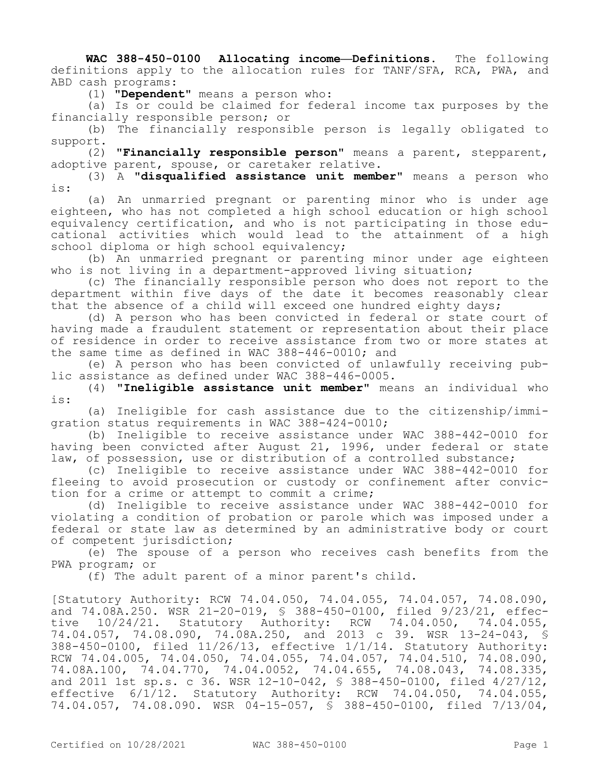**WAC 388-450-0100 Allocating income—Definitions.** The following definitions apply to the allocation rules for TANF/SFA, RCA, PWA, and ABD cash programs:

(1) **"Dependent"** means a person who:

(a) Is or could be claimed for federal income tax purposes by the financially responsible person; or

(b) The financially responsible person is legally obligated to support.

(2) **"Financially responsible person"** means a parent, stepparent, adoptive parent, spouse, or caretaker relative.

(3) A **"disqualified assistance unit member"** means a person who is:

(a) An unmarried pregnant or parenting minor who is under age eighteen, who has not completed a high school education or high school equivalency certification, and who is not participating in those educational activities which would lead to the attainment of a high school diploma or high school equivalency;

(b) An unmarried pregnant or parenting minor under age eighteen who is not living in a department-approved living situation;

(c) The financially responsible person who does not report to the department within five days of the date it becomes reasonably clear that the absence of a child will exceed one hundred eighty days;

(d) A person who has been convicted in federal or state court of having made a fraudulent statement or representation about their place of residence in order to receive assistance from two or more states at the same time as defined in WAC 388-446-0010; and

(e) A person who has been convicted of unlawfully receiving public assistance as defined under WAC 388-446-0005.

(4) **"Ineligible assistance unit member"** means an individual who is:

(a) Ineligible for cash assistance due to the citizenship/immigration status requirements in WAC 388-424-0010;

(b) Ineligible to receive assistance under WAC 388-442-0010 for having been convicted after August 21, 1996, under federal or state law, of possession, use or distribution of a controlled substance;

(c) Ineligible to receive assistance under WAC 388-442-0010 for fleeing to avoid prosecution or custody or confinement after conviction for a crime or attempt to commit a crime;

(d) Ineligible to receive assistance under WAC 388-442-0010 for violating a condition of probation or parole which was imposed under a federal or state law as determined by an administrative body or court of competent jurisdiction;

(e) The spouse of a person who receives cash benefits from the PWA program; or

(f) The adult parent of a minor parent's child.

[Statutory Authority: RCW 74.04.050, 74.04.055, 74.04.057, 74.08.090, and 74.08A.250. WSR 21-20-019, § 388-450-0100, filed 9/23/21, effective 10/24/21. Statutory Authority: RCW 74.04.050, 74.04.055, 74.04.057, 74.08.090, 74.08A.250, and 2013 c 39. WSR 13-24-043, § 388-450-0100, filed 11/26/13, effective 1/1/14. Statutory Authority: RCW 74.04.005, 74.04.050, 74.04.055, 74.04.057, 74.04.510, 74.08.090, 74.08A.100, 74.04.770, 74.04.0052, 74.04.655, 74.08.043, 74.08.335, and 2011 1st sp.s. c 36. WSR 12-10-042, § 388-450-0100, filed 4/27/12, effective 6/1/12. Statutory Authority: RCW 74.04.050, 74.04.055, 74.04.057, 74.08.090. WSR 04-15-057, § 388-450-0100, filed 7/13/04,